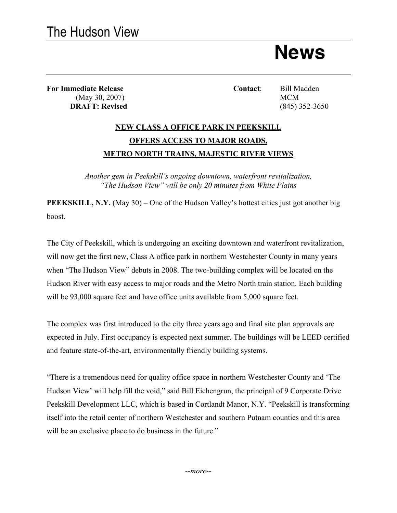**News**

**For Immediate Release Contact**: Bill Madden (May 30, 2007) MCM **DRAFT: Revised** (845) 352-3650

## **NEW CLASS A OFFICE PARK IN PEEKSKILL OFFERS ACCESS TO MAJOR ROADS, METRO NORTH TRAINS, MAJESTIC RIVER VIEWS**

*Another gem in Peekskill's ongoing downtown, waterfront revitalization, "The Hudson View" will be only 20 minutes from White Plains*

**PEEKSKILL, N.Y.** (May 30) – One of the Hudson Valley's hottest cities just got another big boost.

The City of Peekskill, which is undergoing an exciting downtown and waterfront revitalization, will now get the first new, Class A office park in northern Westchester County in many years when "The Hudson View" debuts in 2008. The two-building complex will be located on the Hudson River with easy access to major roads and the Metro North train station. Each building will be 93,000 square feet and have office units available from 5,000 square feet.

The complex was first introduced to the city three years ago and final site plan approvals are expected in July. First occupancy is expected next summer. The buildings will be LEED certified and feature state-of-the-art, environmentally friendly building systems.

"There is a tremendous need for quality office space in northern Westchester County and 'The Hudson View' will help fill the void," said Bill Eichengrun, the principal of 9 Corporate Drive Peekskill Development LLC, which is based in Cortlandt Manor, N.Y. "Peekskill is transforming itself into the retail center of northern Westchester and southern Putnam counties and this area will be an exclusive place to do business in the future."